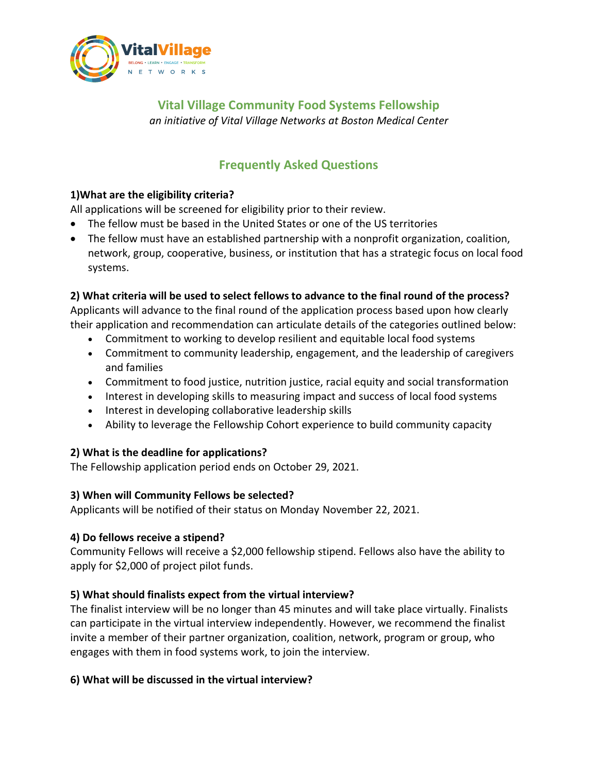

**Vital Village Community Food Systems Fellowship** *an initiative of Vital Village Networks at Boston Medical Center*

# **Frequently Asked Questions**

# **1)What are the eligibility criteria?**

All applications will be screened for eligibility prior to their review.

- The fellow must be based in the United States or one of the US territories
- The fellow must have an established partnership with a nonprofit organization, coalition, network, group, cooperative, business, or institution that has a strategic focus on local food systems.

# **2) What criteria will be used to select fellows to advance to the final round of the process?**

Applicants will advance to the final round of the application process based upon how clearly their application and recommendation can articulate details of the categories outlined below:

- Commitment to working to develop resilient and equitable local food systems
- Commitment to community leadership, engagement, and the leadership of caregivers and families
- Commitment to food justice, nutrition justice, racial equity and social transformation
- Interest in developing skills to measuring impact and success of local food systems
- Interest in developing collaborative leadership skills
- Ability to leverage the Fellowship Cohort experience to build community capacity

### **2) What is the deadline for applications?**

The Fellowship application period ends on October 29, 2021.

### **3) When will Community Fellows be selected?**

Applicants will be notified of their status on Monday November 22, 2021.

### **4) Do fellows receive a stipend?**

Community Fellows will receive a \$2,000 fellowship stipend. Fellows also have the ability to apply for \$2,000 of project pilot funds.

### **5) What should finalists expect from the virtual interview?**

The finalist interview will be no longer than 45 minutes and will take place virtually. Finalists can participate in the virtual interview independently. However, we recommend the finalist invite a member of their partner organization, coalition, network, program or group, who engages with them in food systems work, to join the interview.

### **6) What will be discussed in the virtual interview?**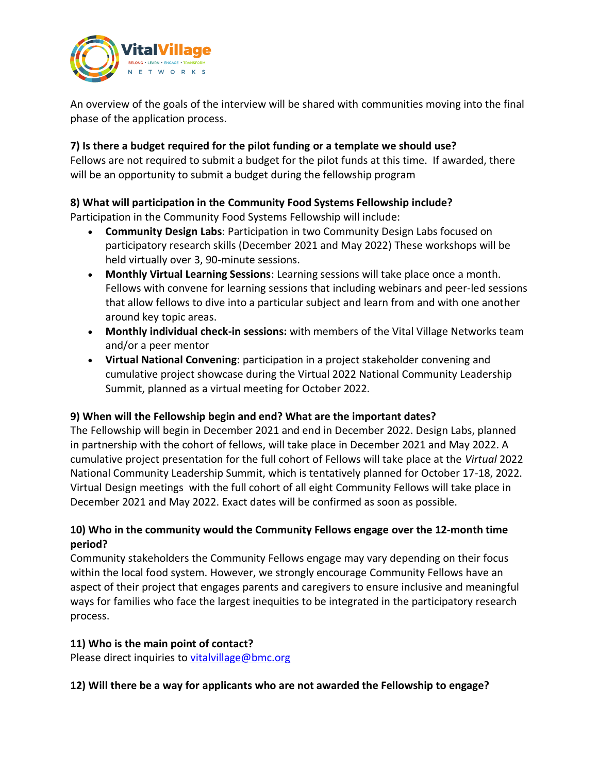

An overview of the goals of the interview will be shared with communities moving into the final phase of the application process.

#### **7) Is there a budget required for the pilot funding or a template we should use?**

Fellows are not required to submit a budget for the pilot funds at this time. If awarded, there will be an opportunity to submit a budget during the fellowship program

# **8) What will participation in the Community Food Systems Fellowship include?**

Participation in the Community Food Systems Fellowship will include:

- **Community Design Labs**: Participation in two Community Design Labs focused on participatory research skills (December 2021 and May 2022) These workshops will be held virtually over 3, 90-minute sessions.
- **Monthly Virtual Learning Sessions**: Learning sessions will take place once a month. Fellows with convene for learning sessions that including webinars and peer-led sessions that allow fellows to dive into a particular subject and learn from and with one another around key topic areas.
- **Monthly individual check-in sessions:** with members of the Vital Village Networks team and/or a peer mentor
- **Virtual National Convening**: participation in a project stakeholder convening and cumulative project showcase during the Virtual 2022 National Community Leadership Summit, planned as a virtual meeting for October 2022.

### **9) When will the Fellowship begin and end? What are the important dates?**

The Fellowship will begin in December 2021 and end in December 2022. Design Labs, planned in partnership with the cohort of fellows, will take place in December 2021 and May 2022. A cumulative project presentation for the full cohort of Fellows will take place at the *Virtual* 2022 National Community Leadership Summit, which is tentatively planned for October 17-18, 2022. Virtual Design meetings with the full cohort of all eight Community Fellows will take place in December 2021 and May 2022. Exact dates will be confirmed as soon as possible.

### **10) Who in the community would the Community Fellows engage over the 12-month time period?**

Community stakeholders the Community Fellows engage may vary depending on their focus within the local food system. However, we strongly encourage Community Fellows have an aspect of their project that engages parents and caregivers to ensure inclusive and meaningful ways for families who face the largest inequities to be integrated in the participatory research process.

#### **11) Who is the main point of contact?**

Please direct inquiries to [vitalvillage@bmc.org](mailto:vitalvillage@bmc.org)

### **12) Will there be a way for applicants who are not awarded the Fellowship to engage?**